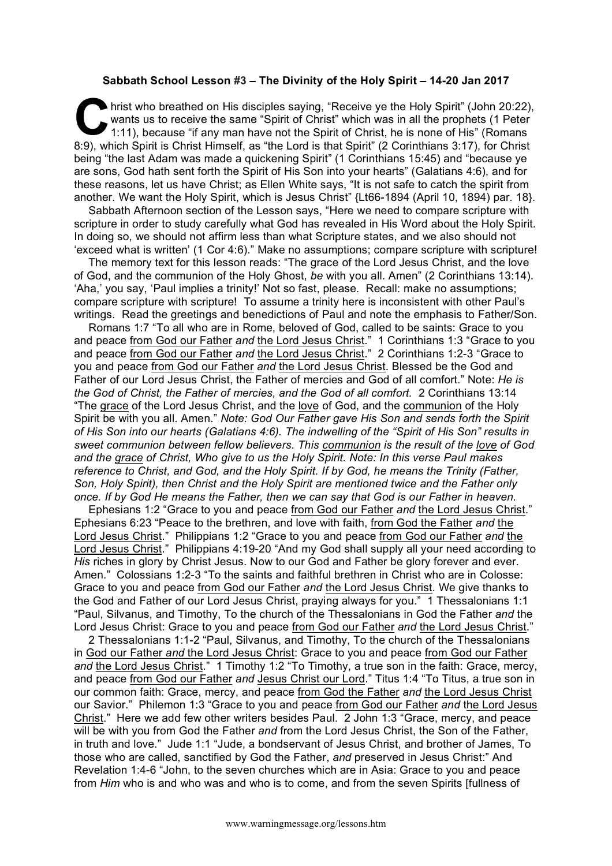## **Sabbath School Lesson #3 – The Divinity of the Holy Spirit – 14-20 Jan 2017**

hrist who breathed on His disciples saying, "Receive ye the Holy Spirit" (John 20:22), wants us to receive the same "Spirit of Christ" which was in all the prophets (1 Peter 1:11), because "if any man have not the Spirit o wants us to receive the same "Spirit of Christ" which was in all the prophets (1 Peter 1:11), because "if any man have not the Spirit of Christ, he is none of His" (Romans 8:9), which Spirit is Christ Himself, as "the Lord is that Spirit" (2 Corinthians 3:17), for Christ being "the last Adam was made a quickening Spirit" (1 Corinthians 15:45) and "because ye are sons, God hath sent forth the Spirit of His Son into your hearts" (Galatians 4:6), and for these reasons, let us have Christ; as Ellen White says, "It is not safe to catch the spirit from another. We want the Holy Spirit, which is Jesus Christ" {Lt66-1894 (April 10, 1894) par. 18}.

Sabbath Afternoon section of the Lesson says, "Here we need to compare scripture with scripture in order to study carefully what God has revealed in His Word about the Holy Spirit. In doing so, we should not affirm less than what Scripture states, and we also should not 'exceed what is written' (1 Cor 4:6)." Make no assumptions; compare scripture with scripture!

The memory text for this lesson reads: "The grace of the Lord Jesus Christ, and the love of God, and the communion of the Holy Ghost, *be* with you all. Amen" (2 Corinthians 13:14). 'Aha,' you say, 'Paul implies a trinity!' Not so fast, please. Recall: make no assumptions; compare scripture with scripture! To assume a trinity here is inconsistent with other Paul's writings. Read the greetings and benedictions of Paul and note the emphasis to Father/Son.

Romans 1:7 "To all who are in Rome, beloved of God, called to be saints: Grace to you and peace from God our Father *and* the Lord Jesus Christ." 1 Corinthians 1:3 "Grace to you and peace from God our Father *and* the Lord Jesus Christ." 2 Corinthians 1:2-3 "Grace to you and peace from God our Father *and* the Lord Jesus Christ. Blessed be the God and Father of our Lord Jesus Christ, the Father of mercies and God of all comfort." Note: *He is the God of Christ, the Father of mercies, and the God of all comfort.* 2 Corinthians 13:14 "The grace of the Lord Jesus Christ, and the love of God, and the communion of the Holy Spirit be with you all. Amen." *Note: God Our Father gave His Son and sends forth the Spirit of His Son into our hearts (Galatians 4:6). The indwelling of the "Spirit of His Son" results in sweet communion between fellow believers. This communion is the result of the love of God and the grace of Christ, Who give to us the Holy Spirit. Note: In this verse Paul makes reference to Christ, and God, and the Holy Spirit. If by God, he means the Trinity (Father, Son, Holy Spirit), then Christ and the Holy Spirit are mentioned twice and the Father only once. If by God He means the Father, then we can say that God is our Father in heaven.*

Ephesians 1:2 "Grace to you and peace from God our Father *and* the Lord Jesus Christ." Ephesians 6:23 "Peace to the brethren, and love with faith, from God the Father *and* the Lord Jesus Christ." Philippians 1:2 "Grace to you and peace from God our Father *and* the Lord Jesus Christ." Philippians 4:19-20 "And my God shall supply all your need according to *His* riches in glory by Christ Jesus. Now to our God and Father be glory forever and ever. Amen." Colossians 1:2-3 "To the saints and faithful brethren in Christ who are in Colosse: Grace to you and peace from God our Father *and* the Lord Jesus Christ. We give thanks to the God and Father of our Lord Jesus Christ, praying always for you." 1 Thessalonians 1:1 "Paul, Silvanus, and Timothy, To the church of the Thessalonians in God the Father *and* the Lord Jesus Christ: Grace to you and peace from God our Father *and* the Lord Jesus Christ."

2 Thessalonians 1:1-2 "Paul, Silvanus, and Timothy, To the church of the Thessalonians in God our Father *and* the Lord Jesus Christ: Grace to you and peace from God our Father *and* the Lord Jesus Christ." 1 Timothy 1:2 "To Timothy, a true son in the faith: Grace, mercy, and peace from God our Father *and* Jesus Christ our Lord." Titus 1:4 "To Titus, a true son in our common faith: Grace, mercy, and peace from God the Father *and* the Lord Jesus Christ our Savior." Philemon 1:3 "Grace to you and peace from God our Father *and* the Lord Jesus Christ." Here we add few other writers besides Paul. 2 John 1:3 "Grace, mercy, and peace will be with you from God the Father *and* from the Lord Jesus Christ, the Son of the Father, in truth and love." Jude 1:1 "Jude, a bondservant of Jesus Christ, and brother of James, To those who are called, sanctified by God the Father, *and* preserved in Jesus Christ:" And Revelation 1:4-6 "John, to the seven churches which are in Asia: Grace to you and peace from *Him* who is and who was and who is to come, and from the seven Spirits [fullness of